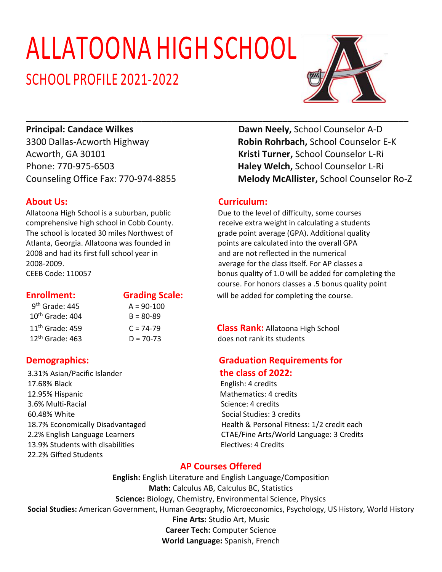# ALLATOONA HIGH SCHOOL

## SCHOOL PROFILE 2021-2022



Acworth, GA 30101 **Kristi Turner,** School Counselor L-Ri Phone: 770-975-6503 **Haley Welch,** School Counselor L-Ri

Allatoona High School is a suburban, public Due to the level of difficulty, some courses Atlanta, Georgia. Allatoona was founded in points are calculated into the overall GPA 2008 and had its first full school year in and are not reflected in the numerical 2008-2009. average for the class itself. For AP classes a

| 9 <sup>th</sup> Grade: 445  |  |  |  |  |
|-----------------------------|--|--|--|--|
| 10 <sup>th</sup> Grade: 404 |  |  |  |  |
| 11 <sup>th</sup> Grade: 459 |  |  |  |  |
| 12 <sup>th</sup> Grade: 463 |  |  |  |  |

 $A = 90-100$  $B = 80 - 89$ 

3.31% Asian/Pacific Islander **the class of 2022:** 17.68% Black English: 4 credits 12.95% Hispanic **Mathematics: 4 credits** 3.6% Multi-Racial Science: 4 credits 60.48% White Social Studies: 3 credits 13.9% Students with disabilities Electives: 4 Credits 22.2% Gifted Students

**Principal: Candace Wilkes Dawn Neely, School Counselor A-D** 3300 Dallas-Acworth Highway **Robin Rohrbach,** School Counselor E-K Counseling Office Fax: 770-974-8855 **Melody McAllister,** School Counselor Ro-Z

### **About Us:** Curriculum:

**\_\_\_\_\_\_\_\_\_\_\_\_\_\_\_\_\_\_\_\_\_\_\_\_\_\_\_\_\_\_\_\_\_\_\_\_\_\_\_\_\_\_\_\_\_\_\_\_\_\_\_\_\_\_\_\_\_\_\_\_\_\_\_\_\_\_\_\_\_\_\_\_\_\_\_\_**

comprehensive high school in Cobb County. The receive extra weight in calculating a students The school is located 30 miles Northwest of grade point average (GPA). Additional quality CEEB Code: 110057 bonus quality of 1.0 will be added for completing the course. For honors classes a .5 bonus quality point **Enrollment:** Grading Scale: will be added for completing the course.

> 11th Grade: 459 C = 74-79 **Class Rank:** Allatoona High School  $D = 70-73$  does not rank its students

# **Demographics: Graduation Requirements for**

18.7% Economically Disadvantaged Health & Personal Fitness: 1/2 credit each 2.2% English Language Learners CTAE/Fine Arts/World Language: 3 Credits

### **AP Courses Offered**

**English:** English Literature and English Language/Composition **Math:** Calculus AB, Calculus BC, Statistics **Science:** Biology, Chemistry, Environmental Science, Physics **Social Studies:** American Government, Human Geography, Microeconomics, Psychology, US History, World History **Fine Arts:** Studio Art, Music **Career Tech:** Computer Science **World Language:** Spanish, French